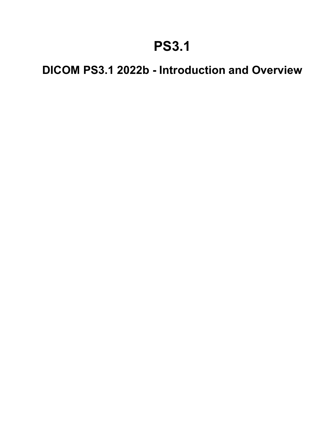## **PS3.1**

## **DICOM PS3.1 2022b - Introduction and Overview**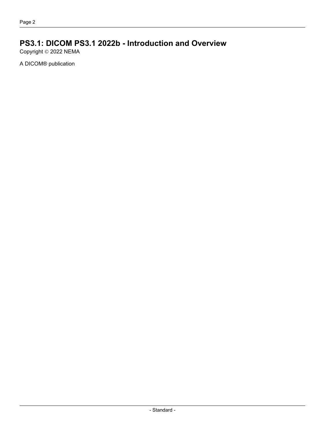### **PS3.1: DICOM PS3.1 2022b - Introduction and Overview**

Copyright © 2022 NEMA

A DICOM® publication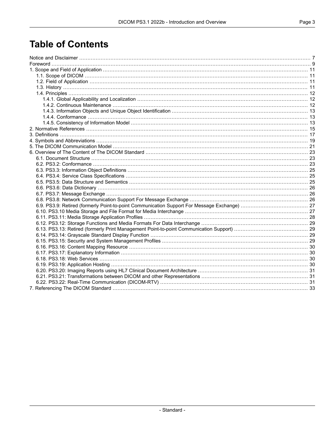## **Table of Contents**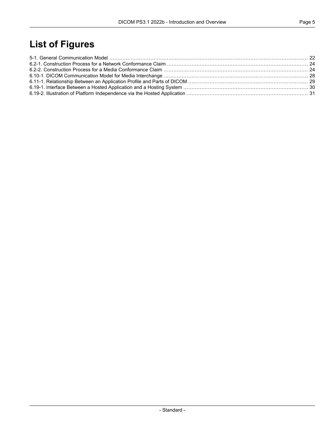## **List of Figures**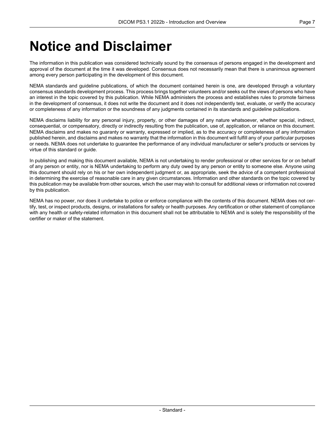## <span id="page-6-0"></span>**Notice and Disclaimer**

The information in this publication was considered technically sound by the consensus of persons engaged in the development and approval of the document at the time it was developed. Consensus does not necessarily mean that there is unanimous agreement among every person participating in the development of this document.

NEMA standards and guideline publications, of which the document contained herein is one, are developed through a voluntary consensus standards development process. This process brings together volunteers and/or seeks out the views of persons who have an interest in the topic covered by this publication. While NEMA administers the process and establishes rules to promote fairness in the development of consensus, it does not write the document and it does not independently test, evaluate, or verify the accuracy or completeness of any information or the soundness of any judgments contained in its standards and guideline publications.

NEMA disclaims liability for any personal injury, property, or other damages of any nature whatsoever, whether special, indirect, consequential, or compensatory, directly or indirectly resulting from the publication, use of, application, or reliance on this document. NEMA disclaims and makes no guaranty or warranty, expressed or implied, as to the accuracy or completeness of any information published herein, and disclaims and makes no warranty that the information in this document will fulfill any of your particular purposes or needs. NEMA does not undertake to guarantee the performance of any individual manufacturer or seller's products or services by virtue of this standard or guide.

In publishing and making this document available, NEMA is not undertaking to render professional or other services for or on behalf of any person or entity, nor is NEMA undertaking to perform any duty owed by any person or entity to someone else. Anyone using this document should rely on his or her own independent judgment or, as appropriate, seek the advice of a competent professional in determining the exercise of reasonable care in any given circumstances. Information and other standards on the topic covered by this publication may be available from other sources, which the user may wish to consult for additional views or information not covered by this publication.

NEMA has no power, nor does it undertake to police or enforce compliance with the contents of this document. NEMA does not cer tify, test, or inspect products, designs, or installations for safety or health purposes. Any certification or other statement of compliance with any health or safety-related information in this document shall not be attributable to NEMA and is solely the responsibility of the certifier or maker of the statement.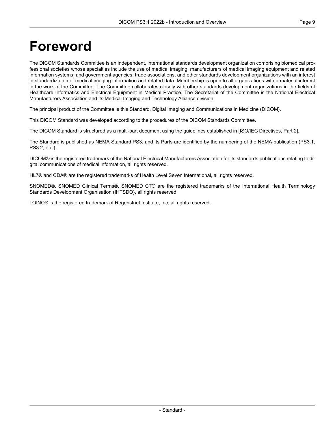## <span id="page-8-0"></span>**Foreword**

The DICOM Standards Committee is an independent, international standards development organization comprising biomedical pro fessional societies whose specialties include the use of medical imaging, manufacturers of medical imaging equipment and related information systems, and government agencies, trade associations, and other standards development organizations with an interest in standardization of medical imaging information and related data. Membership is open to all organizations with a material interest in the work of the Committee. The Committee collaborates closely with other standards development organizations in the fields of Healthcare Informatics and Electrical Equipment in Medical Practice. The Secretariat of the Committee is the National Electrical Manufacturers Association and its Medical Imaging and Technology Alliance division.

The principal product of the Committee is this Standard, Digital Imaging and Communications in Medicine (DICOM).

This DICOM Standard was developed according to the procedures of the DICOM Standards Committee.

The DICOM Standard is structured as a multi-part document using the guidelines established in [ISO/IEC [Directives,](#page-14-1) Part 2].

The Standard is published as NEMA Standard PS3, and its Parts are identified by the numbering of the NEMA publication (PS3.1, PS3.2, etc.).

DICOM® is the registered trademark of the National Electrical Manufacturers Association for its standards publications relating to di gital communications of medical information, all rights reserved.

HL7® and CDA® are the registered trademarks of Health Level Seven International, all rights reserved.

SNOMED®, SNOMED Clinical Terms®, SNOMED CT® are the registered trademarks of the International Health Terminology Standards Development Organisation (IHTSDO), all rights reserved.

LOINC® is the registered trademark of Regenstrief Institute, Inc, all rights reserved.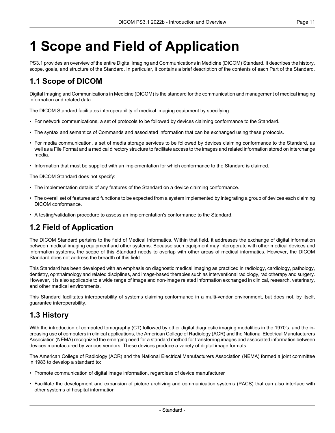# <span id="page-10-0"></span>**1 Scope and Field of Application**

<span id="page-10-1"></span>PS3.1 provides an overview of the entire Digital Imaging and Communications in Medicine (DICOM) Standard. It describes the history, scope, goals, and structure of the Standard. In particular, it contains a brief description of the contents of each Part of the Standard.

### **1.1 Scope of DICOM**

Digital Imaging and Communications in Medicine (DICOM) is the standard for the communication and management of medical imaging information and related data.

The DICOM Standard facilitates interoperability of medical imaging equipment by specifying:

- For network communications, a set of protocols to be followed by devices claiming conformance to the Standard.
- The syntax and semantics of Commands and associated information that can be exchanged using these protocols.
- For media communication, a set of media storage services to be followed by devices claiming conformance to the Standard, as well as a File Format and a medical directory structure to facilitate access to the images and related information stored on interchange media.
- Information that must be supplied with an implementation for which conformance to the Standard is claimed.

The DICOM Standard does not specify:

- The implementation details of any features of the Standard on a device claiming conformance.
- <span id="page-10-2"></span>• The overall set of features and functions to be expected from a system implemented by integrating a group of devices each claiming DICOM conformance.
- A testing/validation procedure to assess an implementation's conformance to the Standard.

### **1.2 Field of Application**

The DICOM Standard pertains to the field of Medical Informatics. Within that field, it addresses the exchange of digital information between medical imaging equipment and other systems. Because such equipment may interoperate with other medical devices and information systems, the scope of this Standard needs to overlap with other areas of medical informatics. However, the DICOM Standard does not address the breadth of this field.

<span id="page-10-3"></span>This Standard has been developed with an emphasis on diagnostic medical imaging as practiced in radiology, cardiology, pathology, dentistry, ophthalmology and related disciplines, and image-based therapies such as interventional radiology, radiotherapy and surgery. However, it is also applicable to a wide range of image and non-image related information exchanged in clinical, research, veterinary, and other medical environments.

This Standard facilitates interoperability of systems claiming conformance in a multi-vendor environment, but does not, by itself, guarantee interoperability.

### **1.3 History**

With the introduction of computed tomography (CT) followed by other digital diagnostic imaging modalities in the 1970's, and the in creasing use of computers in clinical applications, the American College of Radiology (ACR) and the National Electrical Manufacturers Association (NEMA) recognized the emerging need for a standard method for transferring images and associated information between devices manufactured by various vendors. These devices produce a variety of digital image formats.

The American College of Radiology (ACR) and the National Electrical Manufacturers Association (NEMA) formed a joint committee in 1983 to develop a standard to:

- Promote communication of digital image information, regardless of device manufacturer
- Facilitate the development and expansion of picture archiving and communication systems (PACS) that can also interface with other systems of hospital information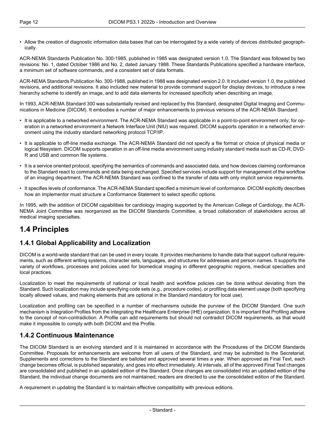• Allow the creation of diagnostic information data bases that can be interrogated by a wide variety of devices distributed geograph ically.

ACR-NEMA Standards Publication No. 300-1985, published in 1985 was designated version 1.0. The Standard was followed by two revisions: No. 1, dated October 1986 and No. 2, dated January 1988. These Standards Publications specified a hardware interface, a minimum set of software commands, and a consistent set of data formats.

ACR-NEMA Standards Publication No. 300-1988, published in 1988 was designated version 2.0. It included version 1.0, the published revisions, and additional revisions. It also included new material to provide command support for display devices, to introduce a new hierarchy scheme to identify an image, and to add data elements for increased specificity when describing an image.

In 1993, ACR-NEMA Standard 300 was substantially revised and replaced by this Standard, designated Digital Imaging and Commu nications in Medicine (DICOM). It embodies a number of major enhancements to previous versions of the ACR-NEMA Standard:

- It is applicable to a networked environment. The ACR-NEMA Standard was applicable in a point-to-point environment only; for op eration in a networked environment a Network Interface Unit (NIU) was required. DICOM supports operation in a networked envir onment using the industry standard networking protocol TCP/IP.
- It is applicable to off-line media exchange. The ACR-NEMA Standard did not specify a file format or choice of physical media or logical filesystem. DICOM supports operation in an off-line media environment using industry standard media such as CD-R, DVD- R and USB and common file systems.
- It is a service oriented protocol, specifying the semantics of commands and associated data, and how devices claiming conformance to the Standard react to commands and data being exchanged. Specified services include support for management of the workflow of an imaging department. The ACR-NEMA Standard was confined to the transfer of data with only implicit service requirements.
- It specifies levels of conformance. The ACR-NEMA Standard specified a minimum level of conformance. DICOM explicitly describes how an implementor must structure a Conformance Statement to select specific options.

<span id="page-11-1"></span><span id="page-11-0"></span>In 1995, with the addition of DICOM capabilities for cardiology imaging supported by the American College of Cardiology, the ACR- NEMA Joint Committee was reorganized as the DICOM Standards Committee, a broad collaboration of stakeholders across all medical imaging specialties.

### **1.4 Principles**

#### **1.4.1 Global Applicability and Localization**

DICOM is a world-wide standard that can be used in every locale. It provides mechanisms to handle data that support cultural require ments, such as different writing systems, character sets, languages, and structures for addresses and person names. It supports the variety of workflows, processes and policies used for biomedical imaging in different geographic regions, medical specialties and local practices.

Localization to meet the requirements of national or local health and workflow policies can be done without deviating from the Standard. Such localization may include specifying code sets (e.g., procedure codes), or profiling data element usage (both specifying locally allowed values, and making elements that are optional in the Standard mandatory for local use).

<span id="page-11-2"></span>Localization and profiling can be specified in a number of mechanisms outside the purview of the DICOM Standard. One such mechanism is Integration Profiles from the Integrating the Healthcare Enterprise (IHE) organization. It is important that Profiling adhere to the concept of non-contradiction. A Profile can add requirements but should not contradict DICOM requirements, as that would make it impossible to comply with both DICOM and the Profile.

#### **1.4.2 Continuous Maintenance**

The DICOM Standard is an evolving standard and it is maintained in accordance with the Procedures of the DICOM Standards Committee. Proposals for enhancements are welcome from all users of the Standard, and may be submitted to the Secretariat. Supplements and corrections to the Standard are balloted and approved several times a year. When approved as Final Text, each change becomes official, is published separately, and goes into effect immediately. At intervals, all of the approved Final Text changes are consolidated and published in an updated edition of the Standard. Once changes are consolidated into an updated edition of the Standard, the individual change documents are not maintained; readers are directed to use the consolidated edition of the Standard.

A requirement in updating the Standard is to maintain effective compatibility with previous editions.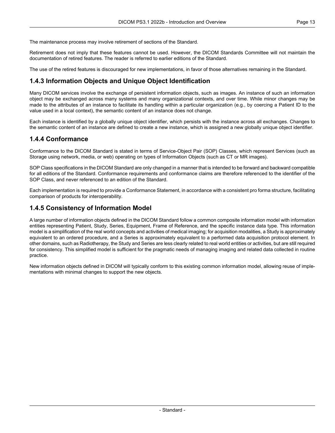The maintenance process may involve retirement of sections of the Standard.

Retirement does not imply that these features cannot be used. However, the DICOM Standards Committee will not maintain the documentation of retired features. The reader is referred to earlier editions of the Standard.

<span id="page-12-0"></span>The use of the retired features is discouraged for new implementations, in favor of those alternatives remaining in the Standard.

#### **1.4.3 Information Objects and Unique Object Identification**

Many DICOM services involve the exchange of persistent information objects, such as images. An instance of such an information object may be exchanged across many systems and many organizational contexts, and over time. While minor changes may be made to the attributes of an instance to facilitate its handling within a particular organization (e.g., by coercing a Patient ID to the value used in a local context), the semantic content of an instance does not change.

<span id="page-12-1"></span>Each instance is identified by a globally unique object identifier, which persists with the instance across all exchanges. Changes to the semantic content of an instance are defined to create a new instance, which is assigned a new globally unique object identifier.

#### **1.4.4 Conformance**

Conformance to the DICOM Standard is stated in terms of Service-Object Pair (SOP) Classes, which represent Services (such as Storage using network, media, or web) operating on types of Information Objects (such as CT or MR images).

SOP Class specifications in the DICOM Standard are only changed in a manner that is intended to be forward and backward compatible for all editions of the Standard. Conformance requirements and conformance claims are therefore referenced to the identifier of the SOP Class, and never referenced to an edition of the Standard.

<span id="page-12-2"></span>Each implementation is required to provide a Conformance Statement, in accordance with a consistent pro forma structure, facilitating comparison of products for interoperability.

#### **1.4.5 Consistency of Information Model**

A large number of information objects defined in the DICOM Standard follow a common composite information model with information entities representing Patient, Study, Series, Equipment, Frame of Reference, and the specific instance data type. This information model is a simplification of the real world concepts and activities of medical imaging; for acquisition modalities, a Study is approximately equivalent to an ordered procedure, and a Series is approximately equivalent to a performed data acquisition protocol element. In other domains, such as Radiotherapy, the Study and Series are less clearly related to real world entities or activities, but are still required for consistency. This simplified model is sufficient for the pragmatic needs of managing imaging and related data collected in routine practice.

New information objects defined in DICOM will typically conform to this existing common information model, allowing reuse of imple mentations with minimal changes to support the new objects.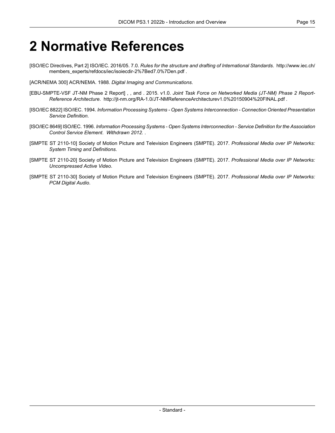## <span id="page-14-0"></span>**2 Normative References**

- <span id="page-14-1"></span>[ISO/IEC Directives, Part 2] ISO/IEC. 2016/05. 7.0. *Rules for the structure and drafting of International Standards*. [http://www.iec.ch/](http://www.iec.ch/members_experts/refdocs/iec/isoiecdir-2%7Bed7.0%7Den.pdf) [members\\_experts/refdocs/iec/isoiecdir-2%7Bed7.0%7Den.pdf](http://www.iec.ch/members_experts/refdocs/iec/isoiecdir-2%7Bed7.0%7Den.pdf) .
- <span id="page-14-2"></span>[ACR/NEMA 300] ACR/NEMA. 1988. *Digital Imaging and Communications*.
- [EBU-SMPTE-VSF JT-NM Phase 2 Report] , , and . 2015. v1.0. *Joint Task Force on Networked Media (JT-NM) Phase 2 Report- Reference Architecture*. <http://jt-nm.org/RA-1.0/JT-NMReferenceArchitecturev1.0%20150904%20FINAL.pdf> .
- [ISO/IEC 8822] ISO/IEC. 1994. *Information Processing Systems - Open Systems Interconnection - Connection Oriented Presentation Service Definition*.
- <span id="page-14-3"></span>[ISO/IEC 8649] ISO/IEC. 1996. *Information Processing Systems - Open Systems Interconnection - Service Definition for the Association Control Service Element*. *Withdrawn 2012.* .
- <span id="page-14-4"></span>[SMPTE ST 2110-10] Society of Motion Picture and Television Engineers (SMPTE). 2017. *Professional Media over IP Networks: System Timing and Definitions*.
- <span id="page-14-5"></span>[SMPTE ST 2110-20] Society of Motion Picture and Television Engineers (SMPTE). 2017. *Professional Media over IP Networks: Uncompressed Active Video*.
- [SMPTE ST 2110-30] Society of Motion Picture and Television Engineers (SMPTE). 2017. *Professional Media over IP Networks: PCM Digital Audio*.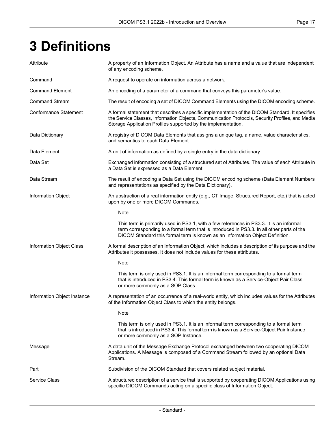# <span id="page-16-0"></span>**3 Definitions**

| Attribute                    | A property of an Information Object. An Attribute has a name and a value that are independent<br>of any encoding scheme.                                                                                                                                               |
|------------------------------|------------------------------------------------------------------------------------------------------------------------------------------------------------------------------------------------------------------------------------------------------------------------|
| Command                      | A request to operate on information across a network.                                                                                                                                                                                                                  |
| <b>Command Element</b>       | An encoding of a parameter of a command that conveys this parameter's value.                                                                                                                                                                                           |
| <b>Command Stream</b>        | The result of encoding a set of DICOM Command Elements using the DICOM encoding scheme.                                                                                                                                                                                |
| <b>Conformance Statement</b> | A formal statement that describes a specific implementation of the DICOM Standard. It specifies<br>the Service Classes, Information Objects, Communication Protocols, Security Profiles, and Media<br>Storage Application Profiles supported by the implementation.    |
| Data Dictionary              | A registry of DICOM Data Elements that assigns a unique tag, a name, value characteristics,<br>and semantics to each Data Element.                                                                                                                                     |
| Data Element                 | A unit of information as defined by a single entry in the data dictionary.                                                                                                                                                                                             |
| Data Set                     | Exchanged information consisting of a structured set of Attributes. The value of each Attribute in<br>a Data Set is expressed as a Data Element.                                                                                                                       |
| Data Stream                  | The result of encoding a Data Set using the DICOM encoding scheme (Data Element Numbers<br>and representations as specified by the Data Dictionary).                                                                                                                   |
| <b>Information Object</b>    | An abstraction of a real information entity (e.g., CT Image, Structured Report, etc.) that is acted<br>upon by one or more DICOM Commands.                                                                                                                             |
|                              | Note                                                                                                                                                                                                                                                                   |
|                              | This term is primarily used in PS3.1, with a few references in PS3.3. It is an informal<br>term corresponding to a formal term that is introduced in PS3.3. In all other parts of the<br>DICOM Standard this formal term is known as an Information Object Definition. |
| Information Object Class     | A formal description of an Information Object, which includes a description of its purpose and the<br>Attributes it possesses. It does not include values for these attributes.                                                                                        |
|                              | Note                                                                                                                                                                                                                                                                   |
|                              | This term is only used in PS3.1. It is an informal term corresponding to a formal term<br>that is introduced in PS3.4. This formal term is known as a Service-Object Pair Class<br>or more commonly as a SOP Class.                                                    |
| Information Object Instance  | A representation of an occurrence of a real-world entity, which includes values for the Attributes<br>of the Information Object Class to which the entity belongs.                                                                                                     |
|                              | Note                                                                                                                                                                                                                                                                   |
|                              | This term is only used in PS3.1. It is an informal term corresponding to a formal term<br>that is introduced in PS3.4. This formal term is known as a Service-Object Pair Instance<br>or more commonly as a SOP Instance.                                              |
| Message                      | A data unit of the Message Exchange Protocol exchanged between two cooperating DICOM<br>Applications. A Message is composed of a Command Stream followed by an optional Data<br>Stream.                                                                                |
| Part                         | Subdivision of the DICOM Standard that covers related subject material.                                                                                                                                                                                                |
| <b>Service Class</b>         | A structured description of a service that is supported by cooperating DICOM Applications using<br>specific DICOM Commands acting on a specific class of Information Object.                                                                                           |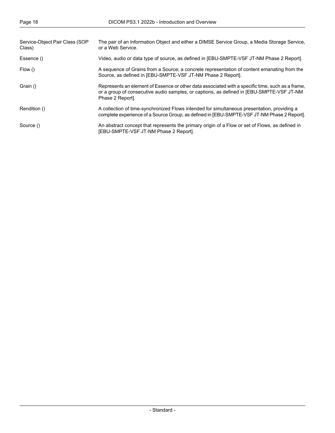| Service-Object Pair Class (SOP<br>Class) | The pair of an Information Object and either a DIMSE Service Group, a Media Storage Service,<br>or a Web Service.                                                                                                |
|------------------------------------------|------------------------------------------------------------------------------------------------------------------------------------------------------------------------------------------------------------------|
| Essence ()                               | Video, audio or data type of source, as defined in [EBU-SMPTE-VSF JT-NM Phase 2 Report].                                                                                                                         |
| Flow ()                                  | A sequence of Grains from a Source; a concrete representation of content emanating from the<br>Source, as defined in [EBU-SMPTE-VSF JT-NM Phase 2 Report].                                                       |
| Grain ()                                 | Represents an element of Essence or other data associated with a specific time, such as a frame,<br>or a group of consecutive audio samples, or captions, as defined in [EBU-SMPTE-VSF JT-NM<br>Phase 2 Report]. |
| Rendition ()                             | A collection of time-synchronized Flows intended for simultaneous presentation, providing a<br>complete experience of a Source Group, as defined in [EBU-SMPTE-VSF JT-NM Phase 2 Report].                        |
| Source ()                                | An abstract concept that represents the primary origin of a Flow or set of Flows, as defined in<br>[EBU-SMPTE-VSF JT-NM Phase 2 Report].                                                                         |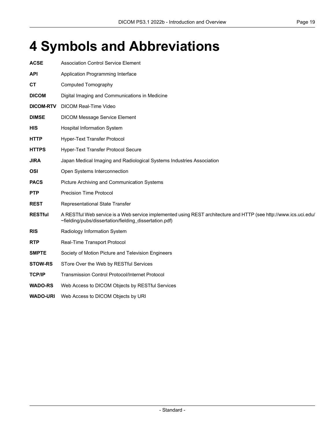# <span id="page-18-0"></span>**4 Symbols and Abbreviations**

| <b>ACSE</b>      | <b>Association Control Service Element</b>                                                                                                                                 |
|------------------|----------------------------------------------------------------------------------------------------------------------------------------------------------------------------|
| <b>API</b>       | Application Programming Interface                                                                                                                                          |
| СT               | <b>Computed Tomography</b>                                                                                                                                                 |
| <b>DICOM</b>     | Digital Imaging and Communications in Medicine                                                                                                                             |
| <b>DICOM-RTV</b> | <b>DICOM Real-Time Video</b>                                                                                                                                               |
| <b>DIMSE</b>     | <b>DICOM Message Service Element</b>                                                                                                                                       |
| <b>HIS</b>       | Hospital Information System                                                                                                                                                |
| <b>HTTP</b>      | Hyper-Text Transfer Protocol                                                                                                                                               |
| <b>HTTPS</b>     | Hyper-Text Transfer Protocol Secure                                                                                                                                        |
| <b>JIRA</b>      | Japan Medical Imaging and Radiological Systems Industries Association                                                                                                      |
| <b>OSI</b>       | Open Systems Interconnection                                                                                                                                               |
| <b>PACS</b>      | Picture Archiving and Communication Systems                                                                                                                                |
| <b>PTP</b>       | <b>Precision Time Protocol</b>                                                                                                                                             |
| <b>REST</b>      | Representational State Transfer                                                                                                                                            |
| <b>RESTful</b>   | A RESTful Web service is a Web service implemented using REST architecture and HTTP (see http://www.ics.uci.edu/<br>~fielding/pubs/dissertation/fielding_dissertation.pdf) |
| <b>RIS</b>       | Radiology Information System                                                                                                                                               |
| <b>RTP</b>       | Real-Time Transport Protocol                                                                                                                                               |
| <b>SMPTE</b>     | Society of Motion Picture and Television Engineers                                                                                                                         |
| <b>STOW-RS</b>   | STore Over the Web by RESTful Services                                                                                                                                     |
| <b>TCP/IP</b>    | <b>Transmission Control Protocol/Internet Protocol</b>                                                                                                                     |
| <b>WADO-RS</b>   | Web Access to DICOM Objects by RESTful Services                                                                                                                            |

**WADO-URI** Web Access to DICOM Objects by URI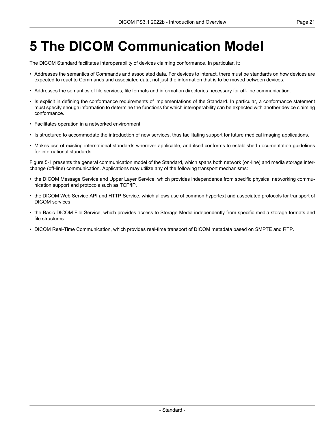# <span id="page-20-0"></span>**5 The DICOM Communication Model**

The DICOM Standard facilitates interoperability of devices claiming conformance. In particular, it:

- Addresses the semantics of Commands and associated data. For devices to interact, there must be standards on how devices are expected to react to Commands and associated data, not just the information that is to be moved between devices.
- Addresses the semantics of file services, file formats and information directories necessary for off-line communication.
- Is explicit in defining the conformance requirements of implementations of the Standard. In particular, a conformance statement must specify enough information to determine the functions for which interoperability can be expected with another device claiming conformance.
- Facilitates operation in a networked environment.
- Is structured to accommodate the introduction of new services, thus facilitating support for future medical imaging applications.
- Makes use of existing international standards wherever applicable, and itself conforms to established documentation guidelines for international standards.

[Figure](#page-21-0) 5-1 presents the general communication model of the Standard, which spans both network (on-line) and media storage inter change (off-line) communication. Applications may utilize any of the following transport mechanisms:

- the DICOM Message Service and Upper Layer Service, which provides independence from specific physical networking commu nication support and protocols such as TCP/IP.
- the DICOM Web Service API and HTTP Service, which allows use of common hypertext and associated protocols for transport of DICOM services
- the Basic DICOM File Service, which provides access to Storage Media independently from specific media storage formats and file structures
- DICOM Real-Time Communication, which provides real-time transport of DICOM metadata based on SMPTE and RTP.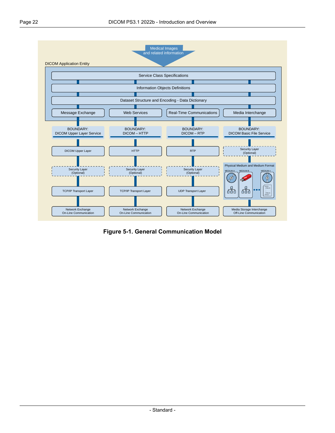<span id="page-21-0"></span>

**Figure 5-1. General Communication Model**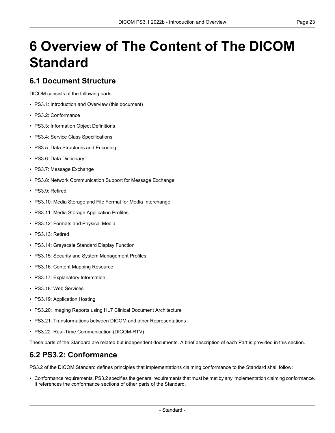# <span id="page-22-0"></span>**6 Overview of The Content of The DICOM Standard**

#### <span id="page-22-1"></span>**6.1 Document Structure**

DICOM consists of the following parts:

- PS3.1: Introduction and Overview (this document)
- PS3.2: [Conformance](part02.pdf#PS3.2)
- PS3.3: [Information](part03.pdf#PS3.3) Object Definitions
- PS3.4: Service Class [Specifications](part04.pdf#PS3.4)
- PS3.5: Data [Structures](part05.pdf#PS3.5) and Encoding
- PS3.6: Data [Dictionary](part06.pdf#PS3.6)
- PS3.7: Message [Exchange](part07.pdf#PS3.7)
- PS3.8: Network [Communication](part08.pdf#PS3.8) Support for Message Exchange
- PS3.9: Retired
- PS3.10: Media Storage and File Format for Media [Interchange](part10.pdf#PS3.10)
- PS3.11: Media Storage [Application](part11.pdf#PS3.11) Profiles
- PS3.12: Formats and [Physical](part12.pdf#PS3.12) Media
- PS3.13: Retired
- PS3.14: [Grayscale](part14.pdf#PS3.14) Standard Display Function
- PS3.15: Security and System [Management](part15.pdf#PS3.15) Profiles
- PS3.16: Content Mapping [Resource](part16.pdf#PS3.16)
- PS3.17: [Explanatory](part17.pdf#PS3.17) Information
- PS3.18: Web [Services](part18.pdf#PS3.18)
- PS3.19: [Application](part19.pdf#PS3.19) Hosting
- <span id="page-22-2"></span>• PS3.20: Imaging Reports using HL7 Clinical Document [Architecture](part20.pdf#PS3.20)
- PS3.21: Transformations between DICOM and other [Representations](part21.pdf#PS3.21)
- PS3.22: Real-Time [Communication](part22.pdf#PS3.22) (DICOM-RTV)

These parts of the Standard are related but independent documents. A brief description of each Part is provided in this section.

#### **6.2 PS3.2: Conformance**

[PS3.2](part02.pdf#PS3.2) of the DICOM Standard defines principles that implementations claiming conformance to the Standard shall follow:

• Conformance requirements. [PS3.2](part02.pdf#PS3.2) specifies the general requirements that must be met by any implementation claiming conformance. It references the conformance sections of other parts of the Standard.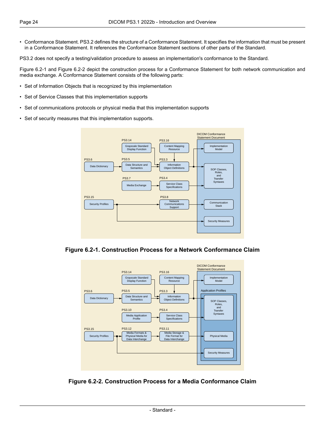• Conformance Statement. [PS3.2](part02.pdf#PS3.2) defines the structure of a Conformance Statement. It specifies the information that must be present in a Conformance Statement. It references the Conformance Statement sections of other parts of the Standard.

[PS3.2](part02.pdf#PS3.2) does not specify a testing/validation procedure to assess an implementation's conformance to the Standard.

[Figure](#page-23-0) 6.2-1 and [Figure](#page-23-1) 6.2-2 depict the construction process for a Conformance Statement for both network communication and media exchange. A Conformance Statement consists of the following parts:

- Set of Information Objects that is recognized by this implementation
- Set of Service Classes that this implementation supports
- Set of communications protocols or physical media that this implementation supports
- <span id="page-23-0"></span>• Set of security measures that this implementation supports.



<span id="page-23-1"></span>**Figure 6.2-1. Construction Process for a Network Conformance Claim**



**Figure 6.2-2. Construction Process for a Media Conformance Claim**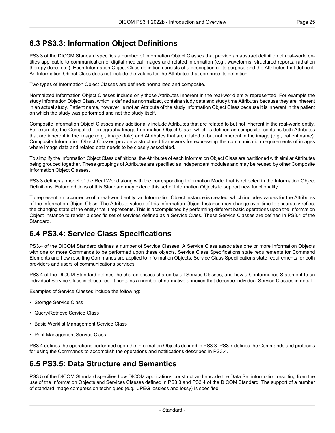### <span id="page-24-0"></span>**6.3 PS3.3: Information Object Definitions**

[PS3.3](part03.pdf#PS3.3) of the DICOM Standard specifies a number of Information Object Classes that provide an abstract definition of real-world en tities applicable to communication of digital medical images and related information (e.g., waveforms, structured reports, radiation therapy dose, etc.). Each Information Object Class definition consists of a description of its purpose and the Attributes that define it. An Information Object Class does not include the values for the Attributes that comprise its definition.

Two types of Information Object Classes are defined: normalized and composite.

Normalized Information Object Classes include only those Attributes inherent in the real-world entity represented. For example the study Information Object Class, which is defined as normalized, contains study date and study time Attributes because they are inherent in an actual study. Patient name, however, is not an Attribute of the study Information Object Class because it is inherent in the patient on which the study was performed and not the study itself.

Composite Information Object Classes may additionally include Attributes that are related to but not inherent in the real-world entity. For example, the Computed Tomography Image Information Object Class, which is defined as composite, contains both Attributes that are inherent in the image (e.g., image date) and Attributes that are related to but not inherent in the image (e.g., patient name). Composite Information Object Classes provide a structured framework for expressing the communication requirements of images where image data and related data needs to be closely associated.

To simplify the Information Object Class definitions, the Attributes of each Information Object Class are partitioned with similar Attributes being grouped together. These groupings of Attributes are specified as independent modules and may be reused by other Composite Information Object Classes.

[PS3.3](part03.pdf#PS3.3) defines a model of the Real World along with the corresponding Information Model that is reflected in the Information Object Definitions. Future editions of this Standard may extend this set of Information Objects to support new functionality.

<span id="page-24-1"></span>To represent an occurrence of a real-world entity, an Information Object Instance is created, which includes values for the Attributes of the Information Object Class. The Attribute values of this Information Object Instance may change over time to accurately reflect the changing state of the entity that it represents. This is accomplished by performing different basic operations upon the Information Object Instance to render a specific set of services defined as a Service Class. These Service Classes are defined in [PS3.4](part04.pdf#PS3.4) of the Standard.

### **6.4 PS3.4: Service Class Specifications**

[PS3.4](part04.pdf#PS3.4) of the DICOM Standard defines a number of Service Classes. A Service Class associates one or more Information Objects with one or more Commands to be performed upon these objects. Service Class Specifications state requirements for Command Elements and how resulting Commands are applied to Information Objects. Service Class Specifications state requirements for both providers and users of communications services.

[PS3.4](part04.pdf#PS3.4) of the DICOM Standard defines the characteristics shared by all Service Classes, and how a Conformance Statement to an individual Service Class is structured. It contains a number of normative annexes that describe individual Service Classes in detail.

Examples of Service Classes include the following:

- Storage Service Class
- Query/Retrieve Service Class
- <span id="page-24-2"></span>• Basic Worklist Management Service Class
- Print Management Service Class.

[PS3.4](part04.pdf#PS3.4) defines the operations performed upon the Information Objects defined in [PS3.3.](part03.pdf#PS3.3) [PS3.7](part07.pdf#PS3.7) defines the Commands and protocols for using the Commands to accomplish the operations and notifications described in [PS3.4](part04.pdf#PS3.4).

### **6.5 PS3.5: Data Structure and Semantics**

[PS3.5](part05.pdf#PS3.5) of the DICOM Standard specifies how DICOM applications construct and encode the Data Set information resulting from the use of the Information Objects and Services Classes defined in [PS3.3](part03.pdf#PS3.3) and [PS3.4](part04.pdf#PS3.4) of the DICOM Standard. The support of a number of standard image compression techniques (e.g., JPEG lossless and lossy) is specified.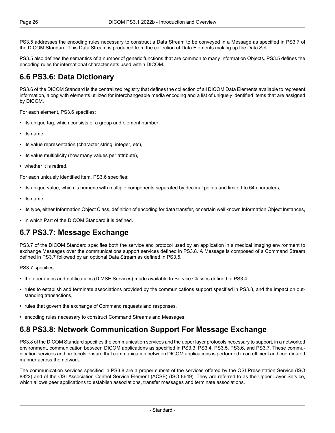[PS3.5](part05.pdf#PS3.5) addresses the encoding rules necessary to construct a Data Stream to be conveyed in a Message as specified in [PS3.7](part07.pdf#PS3.7) of the DICOM Standard. This Data Stream is produced from the collection of Data Elements making up the Data Set.

<span id="page-25-0"></span>[PS3.5](part05.pdf#PS3.5) also defines the semantics of a number of generic functions that are common to many Information Objects. [PS3.5](part05.pdf#PS3.5) defines the encoding rules for international character sets used within DICOM.

#### **6.6 PS3.6: Data Dictionary**

[PS3.6](part06.pdf#PS3.6) of the DICOM Standard is the centralized registry that defines the collection of all DICOM Data Elements available to represent information, along with elements utilized for interchangeable media encoding and a list of uniquely identified items that are assigned by DICOM.

For each element, [PS3.6](part06.pdf#PS3.6) specifies:

- its unique tag, which consists of a group and element number,
- its name,
- its value representation (character string, integer, etc),
- its value multiplicity (how many values per attribute),
- whether it is retired.

For each uniquely identified item, [PS3.6](part06.pdf#PS3.6) specifies:

- its unique value, which is numeric with multiple components separated by decimal points and limited to 64 characters,
- its name,
- <span id="page-25-1"></span>• its type, either Information Object Class, definition of encoding for data transfer, or certain well known Information Object Instances,
- in which Part of the DICOM Standard it is defined.

#### **6.7 PS3.7: Message Exchange**

[PS3.7](part07.pdf#PS3.7) of the DICOM Standard specifies both the service and protocol used by an application in a medical imaging environment to exchange Messages over the communications support services defined in [PS3.8.](part08.pdf#PS3.8) A Message is composed of a Command Stream defined in [PS3.7](part07.pdf#PS3.7) followed by an optional Data Stream as defined in [PS3.5](part05.pdf#PS3.5).

[PS3.7](part07.pdf#PS3.7) specifies:

- the operations and notifications (DIMSE Services) made available to Service Classes defined in [PS3.4,](part04.pdf#PS3.4)
- <span id="page-25-2"></span>• rules to establish and terminate associations provided by the communications support specified in [PS3.8,](part08.pdf#PS3.8) and the impact on out standing transactions,
- rules that govern the exchange of Command requests and responses,
- encoding rules necessary to construct Command Streams and Messages.

#### **6.8 PS3.8: Network Communication Support For Message Exchange**

[PS3.8](part08.pdf#PS3.8) of the DICOM Standard specifies the communication services and the upper layer protocols necessary to support, in a networked environment, communication between DICOM applications as specified in [PS3.3](part03.pdf#PS3.3), [PS3.4,](part04.pdf#PS3.4) [PS3.5](part05.pdf#PS3.5), [PS3.6,](part06.pdf#PS3.6) and [PS3.7.](part07.pdf#PS3.7) These commu nication services and protocols ensure that communication between DICOM applications is performed in an efficient and coordinated manner across the network.

The communication services specified in [PS3.8](part08.pdf#PS3.8) are a proper subset of the services offered by the OSI Presentation Service (ISO 8822) and of the OSI Association Control Service Element (ACSE) (ISO 8649). They are referred to as the Upper Layer Service, which allows peer applications to establish associations, transfer messages and terminate associations.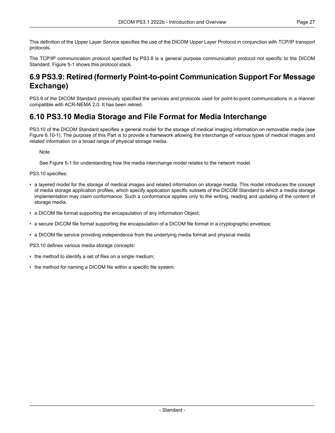This definition of the Upper Layer Service specifies the use of the DICOM Upper Layer Protocol in conjunction with TCP/IP transport protocols.

<span id="page-26-0"></span>The TCP/IP communication protocol specified by [PS3.8](part08.pdf#PS3.8) is a general purpose communication protocol not specific to the DICOM Standard. [Figure](#page-21-0) 5-1 shows this protocol stack.

### **6.9 PS3.9: Retired (formerly Point-to-point Communication Support For Message Exchange)**

<span id="page-26-1"></span>PS3.9 of the DICOM Standard previously specified the services and protocols used for point-to-point communications in a manner compatible with ACR-NEMA 2.0. It has been retired.

#### **6.10 PS3.10 Media Storage and File Format for Media Interchange**

[PS3.10](part10.pdf#PS3.10) of the DICOM Standard specifies a general model for the storage of medical imaging information on removable media (see Figure [6.10-1\)](#page-27-1). The purpose of this Part is to provide a framework allowing the interchange of various types of medical images and related information on a broad range of physical storage media.

**Note** 

See [Figure](#page-21-0) 5-1 for understanding how the media interchange model relates to the network model.

[PS3.10](part10.pdf#PS3.10) specifies:

- a layered model for the storage of medical images and related information on storage media. This model introduces the concept of media storage application profiles, which specify application specific subsets of the DICOM Standard to which a media storage implementation may claim conformance. Such a conformance applies only to the writing, reading and updating of the content of storage media.
- a DICOM file format supporting the encapsulation of any Information Object;
- a secure DICOM file format supporting the encapsulation of a DICOM file format in a cryptographic envelope;
- a DICOM file service providing independence from the underlying media format and physical media.

[PS3.10](part10.pdf#PS3.10) defines various media storage concepts:

- the method to identify a set of files on a single medium;
- the method for naming a DICOM file within a specific file system.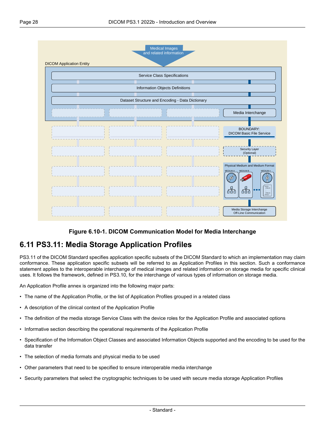<span id="page-27-1"></span>

#### **Figure 6.10-1. DICOM Communication Model for Media Interchange**

#### <span id="page-27-0"></span>**6.11 PS3.11: Media Storage Application Profiles**

[PS3.11](part11.pdf#PS3.11) of the DICOM Standard specifies application specific subsets of the DICOM Standard to which an implementation may claim conformance. These application specific subsets will be referred to as Application Profiles in this section. Such a conformance statement applies to the interoperable interchange of medical images and related information on storage media for specific clinical uses. It follows the framework, defined in [PS3.10](part10.pdf#PS3.10), for the interchange of various types of information on storage media.

An Application Profile annex is organized into the following major parts:

- The name of the Application Profile, or the list of Application Profiles grouped in a related class
- A description of the clinical context of the Application Profile
- The definition of the media storage Service Class with the device roles for the Application Profile and associated options
- Informative section describing the operational requirements of the Application Profile
- Specification of the Information Object Classes and associated Information Objects supported and the encoding to be used for the data transfer
- The selection of media formats and physical media to be used
- Other parameters that need to be specified to ensure interoperable media interchange
- Security parameters that select the cryptographic techniques to be used with secure media storage Application Profiles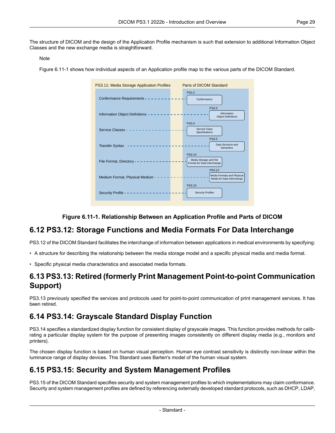The structure of DICOM and the design of the Application Profile mechanism is such that extension to additional Information Object Classes and the new exchange media is straightforward.

#### Note

<span id="page-28-4"></span>[Figure](#page-28-4) 6.11-1 shows how individual aspects of an Application profile map to the various parts of the DICOM Standard.



#### **Figure 6.11-1. Relationship Between an Application Profile and Parts of DICOM**

#### <span id="page-28-0"></span>**6.12 PS3.12: Storage Functions and Media Formats For Data Interchange**

<span id="page-28-1"></span>[PS3.12](part12.pdf#PS3.12) of the DICOM Standard facilitates the interchange of information between applications in medical environments by specifying:

- A structure for describing the relationship between the media storage model and a specific physical media and media format.
- Specific physical media characteristics and associated media formats.

#### <span id="page-28-2"></span>**6.13 PS3.13: Retired (formerly Print Management Point-to-point Communication Support)**

PS3.13 previously specified the services and protocols used for point-to-point communication of print management services. It has been retired.

### **6.14 PS3.14: Grayscale Standard Display Function**

<span id="page-28-3"></span>[PS3.14](part14.pdf#PS3.14) specifies a standardized display function for consistent display of grayscale images. This function provides methods for calib rating a particular display system for the purpose of presenting images consistently on different display media (e.g., monitors and printers).

The chosen display function is based on human visual perception. Human eye contrast sensitivity is distinctly non-linear within the luminance range of display devices. This Standard uses Barten's model of the human visual system.

### **6.15 PS3.15: Security and System Management Profiles**

[PS3.15](part15.pdf#PS3.15) of the DICOM Standard specifies security and system management profiles to which implementations may claim conformance. Security and system management profiles are defined by referencing externally developed standard protocols, such as DHCP, LDAP,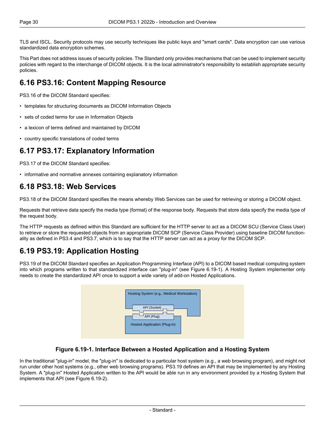TLS and ISCL. Security protocols may use security techniques like public keys and "smart cards". Data encryption can use various standardized data encryption schemes.

<span id="page-29-0"></span>This Part does not address issues of security policies. The Standard only provides mechanisms that can be used to implement security policies with regard to the interchange of DICOM objects. It is the local administrator's responsibility to establish appropriate security policies.

### **6.16 PS3.16: Content Mapping Resource**

[PS3.16](part16.pdf#PS3.16) of the DICOM Standard specifies:

- templates for structuring documents as DICOM Information Objects
- sets of coded terms for use in Information Objects
- <span id="page-29-1"></span>• a lexicon of terms defined and maintained by DICOM
- country specific translations of coded terms

#### **6.17 PS3.17: Explanatory Information**

<span id="page-29-2"></span>[PS3.17](part17.pdf#PS3.17) of the DICOM Standard specifies:

• informative and normative annexes containing explanatory information

#### **6.18 PS3.18: Web Services**

[PS3.18](part18.pdf#PS3.18) of the DICOM Standard specifies the means whereby Web Services can be used for retrieving or storing a DICOM object.

Requests that retrieve data specify the media type (format) of the response body. Requests that store data specify the media type of the request body.

<span id="page-29-3"></span>The HTTP requests as defined within this Standard are sufficient for the HTTP server to act as a DICOM SCU (Service Class User) to retrieve or store the requested objects from an appropriate DICOM SCP (Service Class Provider) using baseline DICOM function ality as defined in [PS3.4](part04.pdf#PS3.4) and [PS3.7,](part07.pdf#PS3.7) which is to say that the HTTP server can act as a proxy for the DICOM SCP.

### **6.19 PS3.19: Application Hosting**

<span id="page-29-4"></span>[PS3.19](part19.pdf#PS3.19) of the DICOM Standard specifies an Application Programming Interface (API) to a DICOM based medical computing system into which programs written to that standardized interface can "plug-in" (see [Figure](#page-29-4) 6.19-1). A Hosting System implementer only needs to create the standardized API once to support a wide variety of add-on Hosted Applications.

| Hosting System (e.g., Medical Workstation)                 |  |
|------------------------------------------------------------|--|
| API (Socket)<br>API (Plug)<br>Hosted Application (Plug-in) |  |

#### **Figure 6.19-1. Interface Between a Hosted Application and a Hosting System**

In the traditional "plug-in" model, the "plug-in" is dedicated to a particular host system (e.g., a web browsing program), and might not run under other host systems (e.g., other web browsing programs). [PS3.19](part19.pdf#PS3.19) defines an API that may be implemented by any Hosting System. A "plug-in" Hosted Application written to the API would be able run in any environment provided by a Hosting System that implements that API (see [Figure](#page-30-3) 6.19-2).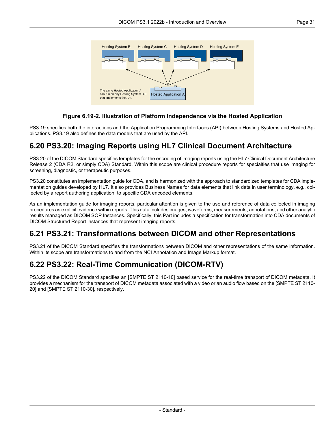<span id="page-30-3"></span>

#### **Figure 6.19-2. Illustration of Platform Independence via the Hosted Application**

<span id="page-30-0"></span>[PS3.19](part19.pdf#PS3.19) specifies both the interactions and the Application Programming Interfaces (API) between Hosting Systems and Hosted Ap plications. [PS3.19](part19.pdf#PS3.19) also defines the data models that are used by the API.

#### **6.20 PS3.20: Imaging Reports using HL7 Clinical Document Architecture**

[PS3.20](part20.pdf#PS3.20) of the DICOM Standard specifies templates for the encoding of imaging reports using the HL7 Clinical Document Architecture Release 2 (CDA R2, or simply CDA) Standard. Within this scope are clinical procedure reports for specialties that use imaging for screening, diagnostic, or therapeutic purposes.

[PS3.20](part20.pdf#PS3.20) constitutes an implementation guide for CDA, and is harmonized with the approach to standardized templates for CDA imple mentation guides developed by HL7. It also provides Business Names for data elements that link data in user terminology, e.g., col lected by a report authoring application, to specific CDA encoded elements.

<span id="page-30-1"></span>As an implementation guide for imaging reports, particular attention is given to the use and reference of data collected in imaging procedures as explicit evidence within reports. This data includes images, waveforms, measurements, annotations, and other analytic results managed as DICOM SOP Instances. Specifically, this Part includes a specification for transformation into CDA documents of DICOM Structured Report instances that represent imaging reports.

### <span id="page-30-2"></span>**6.21 PS3.21: Transformations between DICOM and other Representations**

[PS3.21](part21.pdf#PS3.21) of the DICOM Standard specifies the transformations between DICOM and other representations of the same information. Within its scope are transformations to and from the NCI Annotation and Image Markup format.

### **6.22 PS3.22: Real-Time Communication (DICOM-RTV)**

[PS3.22](part22.pdf#PS3.22) of the DICOM Standard specifies an [SMPTE ST [2110-10\]](#page-14-3) based service for the real-time transport of DICOM metadata. It provides a mechanism for the transport of DICOM metadata associated with a video or an audio flow based on the [\[SMPTE](#page-14-4) ST 2110- [20\]](#page-14-4) and [SMPTE ST [2110-30\],](#page-14-5) respectively.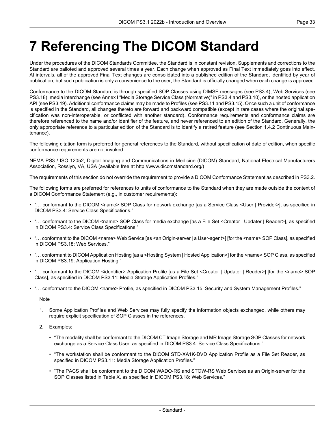# <span id="page-32-0"></span>**7 Referencing The DICOM Standard**

Under the procedures of the DICOM Standards Committee, the Standard is in constant revision. Supplements and corrections to the Standard are balloted and approved several times a year. Each change when approved as Final Text immediately goes into effect. At intervals, all of the approved Final Text changes are consolidated into a published edition of the Standard, identified by year of publication, but such publication is only a convenience to the user; the Standard is officially changed when each change is approved.

Conformance to the DICOM Standard is through specified SOP Classes using DIMSE messages (see [PS3.4](part04.pdf#PS3.4)), Web Services (see [PS3.18](part18.pdf#PS3.18)), media interchange (see Annex I "Media Storage Service Class [\(Normative\)"](part04.pdf#chapter_I) in PS3.4 and [PS3.10\)](part10.pdf#PS3.10), or the hosted application API (see [PS3.19\)](part19.pdf#PS3.19). Additional conformance claims may be made to Profiles (see [PS3.11](part11.pdf#PS3.11) and [PS3.15](part15.pdf#PS3.15)). Once such a unit of conformance is specified in the Standard, all changes thereto are forward and backward compatible (except in rare cases where the original spe cification was non-interoperable, or conflicted with another standard). Conformance requirements and conformance claims are therefore referenced to the name and/or identifier of the feature, and never referenced to an edition of the Standard. Generally, the only appropriate reference to a particular edition of the Standard is to identify a retired feature (see Section 1.4.2 [Continuous](#page-11-2) Main [tenance](#page-11-2)).

The following citation form is preferred for general references to the Standard, without specification of date of edition, when specific conformance requirements are not invoked:

NEMA PS3 / ISO 12052, Digital Imaging and Communications in Medicine (DICOM) Standard, National Electrical Manufacturers Association, Rosslyn, VA, USA (available free at <http://www.dicomstandard.org/>)

The requirements of this section do not override the requirement to provide a DICOM Conformance Statement as described in [PS3.2.](part02.pdf#PS3.2)

The following forms are preferred for references to units of conformance to the Standard when they are made outside the context of a DICOM Conformance Statement (e.g., in customer requirements):

- "… conformant to the DICOM <name> SOP Class for network exchange [as a Service Class <User | Provider>], as specified in DICOM [PS3.4:](part04.pdf#PS3.4) Service Class Specifications."
- "… conformant to the DICOM <name> SOP Class for media exchange [as a File Set <Creator | Updater | Reader>], as specified in DICOM [PS3.4](part04.pdf#PS3.4): Service Class Specifications."
- "... conformant to the DICOM <name> Web Service [as <an Origin-server | a User-agent>] [for the <name> SOP Class], as specified in DICOM [PS3.18](part18.pdf#PS3.18): Web Services."
- "… conformant to DICOM Application Hosting [as a <Hosting System | Hosted Application>] for the <name> SOP Class, as specified in DICOM [PS3.19](part19.pdf#PS3.19): Application Hosting."
- "… conformant to the DICOM <identifier> Application Profile [as a File Set <Creator | Updater | Reader>] [for the <name> SOP Class], as specified in DICOM [PS3.11](part11.pdf#PS3.11): Media Storage Application Profiles."
- "… conformant to the DICOM <name> Profile, as specified in DICOM [PS3.15:](part15.pdf#PS3.15) Security and System Management Profiles."

**Note** 

- 1. Some Application Profiles and Web Services may fully specify the information objects exchanged, while others may require explicit specification of SOP Classes in the references.
- 2. Examples:
	- "The modality shall be conformant to the DICOM CT Image Storage and MR Image Storage SOP Classes for network exchange as a Service Class User, as specified in DICOM [PS3.4:](part04.pdf#PS3.4) Service Class Specifications."
	- "The workstation shall be conformant to the DICOM STD-XA1K-DVD Application Profile as a File Set Reader, as specified in DICOM [PS3.11](part11.pdf#PS3.11): Media Storage Application Profiles."
	- "The PACS shall be conformant to the DICOM WADO-RS and STOW-RS Web Services as an Origin-server for the SOP Classes listed in Table X, as specified in DICOM [PS3.18](part18.pdf#PS3.18): Web Services."